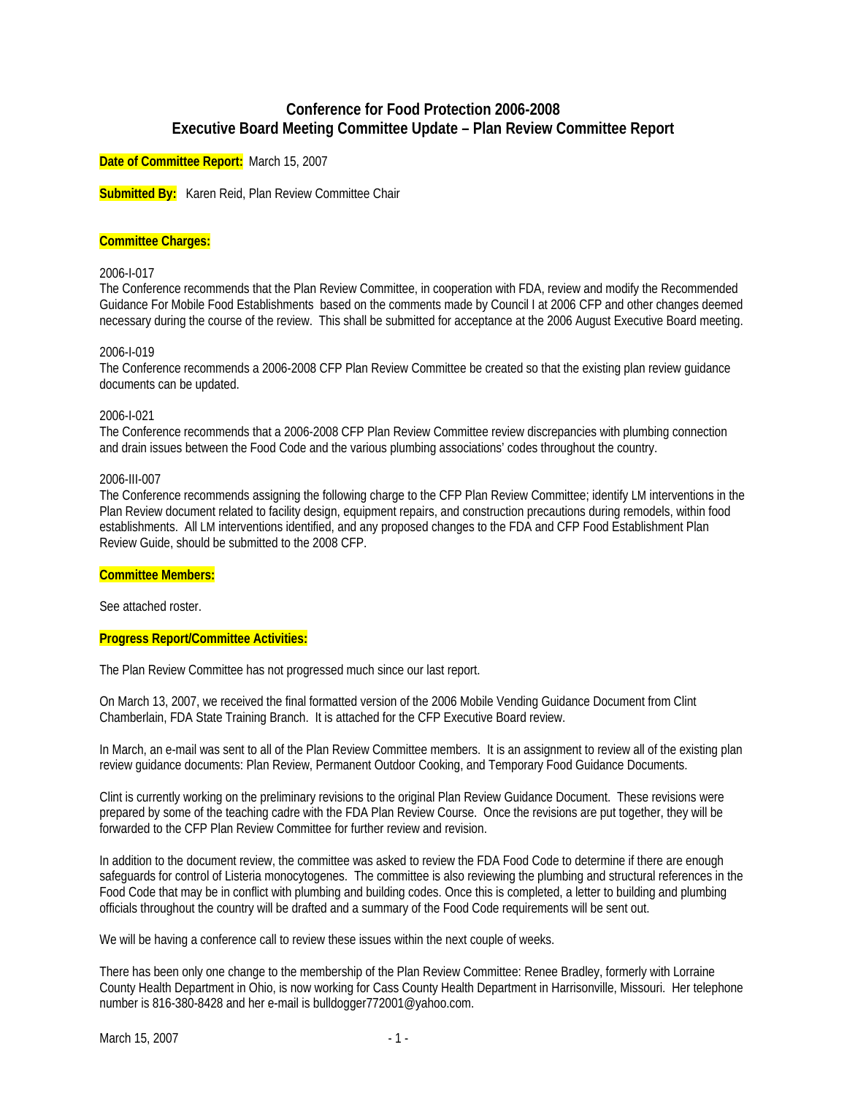# **Conference for Food Protection 2006-2008 Executive Board Meeting Committee Update – Plan Review Committee Report**

**Date of Committee Report:** March 15, 2007

**Submitted By:** Karen Reid, Plan Review Committee Chair

### **Committee Charges:**

### 2006-I-017

The Conference recommends that the Plan Review Committee, in cooperation with FDA, review and modify the Recommended Guidance For Mobile Food Establishments based on the comments made by Council I at 2006 CFP and other changes deemed necessary during the course of the review. This shall be submitted for acceptance at the 2006 August Executive Board meeting.

#### 2006-I-019

The Conference recommends a 2006-2008 CFP Plan Review Committee be created so that the existing plan review guidance documents can be updated.

#### 2006-I-021

The Conference recommends that a 2006-2008 CFP Plan Review Committee review discrepancies with plumbing connection and drain issues between the Food Code and the various plumbing associations' codes throughout the country.

#### 2006-III-007

The Conference recommends assigning the following charge to the CFP Plan Review Committee; identify LM interventions in the Plan Review document related to facility design, equipment repairs, and construction precautions during remodels, within food establishments. All LM interventions identified, and any proposed changes to the FDA and CFP Food Establishment Plan Review Guide, should be submitted to the 2008 CFP.

## **Committee Members:**

See attached roster.

#### **Progress Report/Committee Activities:**

The Plan Review Committee has not progressed much since our last report.

On March 13, 2007, we received the final formatted version of the 2006 Mobile Vending Guidance Document from Clint Chamberlain, FDA State Training Branch. It is attached for the CFP Executive Board review.

In March, an e-mail was sent to all of the Plan Review Committee members. It is an assignment to review all of the existing plan review guidance documents: Plan Review, Permanent Outdoor Cooking, and Temporary Food Guidance Documents.

Clint is currently working on the preliminary revisions to the original Plan Review Guidance Document. These revisions were prepared by some of the teaching cadre with the FDA Plan Review Course. Once the revisions are put together, they will be forwarded to the CFP Plan Review Committee for further review and revision.

In addition to the document review, the committee was asked to review the FDA Food Code to determine if there are enough safeguards for control of Listeria monocytogenes. The committee is also reviewing the plumbing and structural references in the Food Code that may be in conflict with plumbing and building codes. Once this is completed, a letter to building and plumbing officials throughout the country will be drafted and a summary of the Food Code requirements will be sent out.

We will be having a conference call to review these issues within the next couple of weeks.

There has been only one change to the membership of the Plan Review Committee: Renee Bradley, formerly with Lorraine County Health Department in Ohio, is now working for Cass County Health Department in Harrisonville, Missouri. Her telephone number is 816-380-8428 and her e-mail is bulldogger772001@yahoo.com.